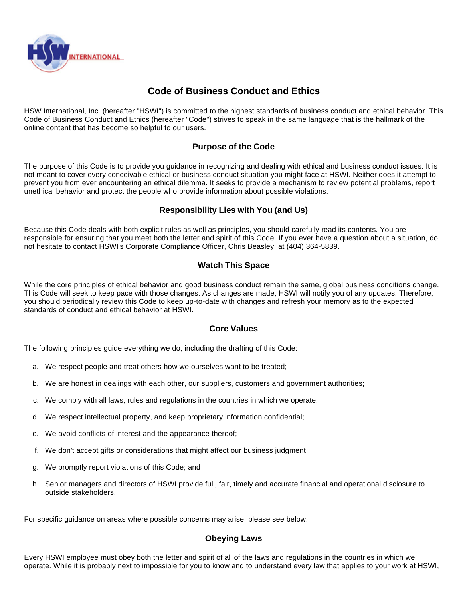

# **Code of Business Conduct and Ethics**

HSW International, Inc. (hereafter "HSWI") is committed to the highest standards of business conduct and ethical behavior. This Code of Business Conduct and Ethics (hereafter "Code") strives to speak in the same language that is the hallmark of the online content that has become so helpful to our users.

# **Purpose of the Code**

The purpose of this Code is to provide you guidance in recognizing and dealing with ethical and business conduct issues. It is not meant to cover every conceivable ethical or business conduct situation you might face at HSWI. Neither does it attempt to prevent you from ever encountering an ethical dilemma. It seeks to provide a mechanism to review potential problems, report unethical behavior and protect the people who provide information about possible violations.

# **Responsibility Lies with You (and Us)**

Because this Code deals with both explicit rules as well as principles, you should carefully read its contents. You are responsible for ensuring that you meet both the letter and spirit of this Code. If you ever have a question about a situation, do not hesitate to contact HSWI's Corporate Compliance Officer, Chris Beasley, at (404) 364-5839.

# **Watch This Space**

While the core principles of ethical behavior and good business conduct remain the same, global business conditions change. This Code will seek to keep pace with those changes. As changes are made, HSWI will notify you of any updates. Therefore, you should periodically review this Code to keep up-to-date with changes and refresh your memory as to the expected standards of conduct and ethical behavior at HSWI.

# **Core Values**

The following principles guide everything we do, including the drafting of this Code:

- a. We respect people and treat others how we ourselves want to be treated;
- b. We are honest in dealings with each other, our suppliers, customers and government authorities;
- c. We comply with all laws, rules and regulations in the countries in which we operate;
- d. We respect intellectual property, and keep proprietary information confidential;
- e. We avoid conflicts of interest and the appearance thereof;
- f. We don't accept gifts or considerations that might affect our business judgment ;
- g. We promptly report violations of this Code; and
- h. Senior managers and directors of HSWI provide full, fair, timely and accurate financial and operational disclosure to outside stakeholders.

For specific guidance on areas where possible concerns may arise, please see below.

# **Obeying Laws**

Every HSWI employee must obey both the letter and spirit of all of the laws and regulations in the countries in which we operate. While it is probably next to impossible for you to know and to understand every law that applies to your work at HSWI,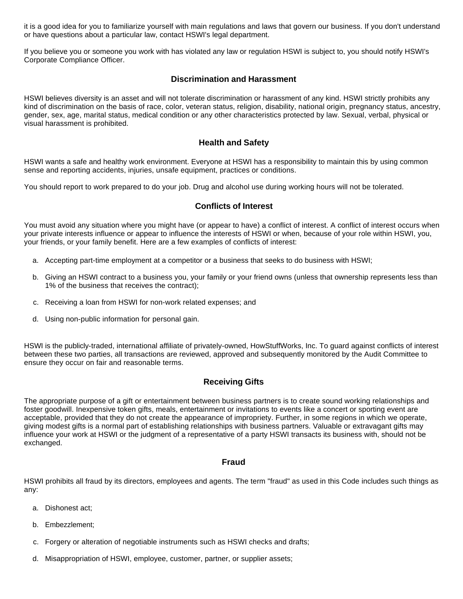it is a good idea for you to familiarize yourself with main regulations and laws that govern our business. If you don't understand or have questions about a particular law, contact HSWI's legal department.

If you believe you or someone you work with has violated any law or regulation HSWI is subject to, you should notify HSWI's Corporate Compliance Officer.

### **Discrimination and Harassment**

HSWI believes diversity is an asset and will not tolerate discrimination or harassment of any kind. HSWI strictly prohibits any kind of discrimination on the basis of race, color, veteran status, religion, disability, national origin, pregnancy status, ancestry, gender, sex, age, marital status, medical condition or any other characteristics protected by law. Sexual, verbal, physical or visual harassment is prohibited.

### **Health and Safety**

HSWI wants a safe and healthy work environment. Everyone at HSWI has a responsibility to maintain this by using common sense and reporting accidents, injuries, unsafe equipment, practices or conditions.

You should report to work prepared to do your job. Drug and alcohol use during working hours will not be tolerated.

### **Conflicts of Interest**

You must avoid any situation where you might have (or appear to have) a conflict of interest. A conflict of interest occurs when your private interests influence or appear to influence the interests of HSWI or when, because of your role within HSWI, you, your friends, or your family benefit. Here are a few examples of conflicts of interest:

- a. Accepting part-time employment at a competitor or a business that seeks to do business with HSWI;
- b. Giving an HSWI contract to a business you, your family or your friend owns (unless that ownership represents less than 1% of the business that receives the contract);
- c. Receiving a loan from HSWI for non-work related expenses; and
- d. Using non-public information for personal gain.

HSWI is the publicly-traded, international affiliate of privately-owned, HowStuffWorks, Inc. To guard against conflicts of interest between these two parties, all transactions are reviewed, approved and subsequently monitored by the Audit Committee to ensure they occur on fair and reasonable terms.

#### **Receiving Gifts**

The appropriate purpose of a gift or entertainment between business partners is to create sound working relationships and foster goodwill. Inexpensive token gifts, meals, entertainment or invitations to events like a concert or sporting event are acceptable, provided that they do not create the appearance of impropriety. Further, in some regions in which we operate, giving modest gifts is a normal part of establishing relationships with business partners. Valuable or extravagant gifts may influence your work at HSWI or the judgment of a representative of a party HSWI transacts its business with, should not be exchanged.

#### **Fraud**

HSWI prohibits all fraud by its directors, employees and agents. The term "fraud" as used in this Code includes such things as any:

- a. Dishonest act;
- b. Embezzlement;
- c. Forgery or alteration of negotiable instruments such as HSWI checks and drafts;
- d. Misappropriation of HSWI, employee, customer, partner, or supplier assets;